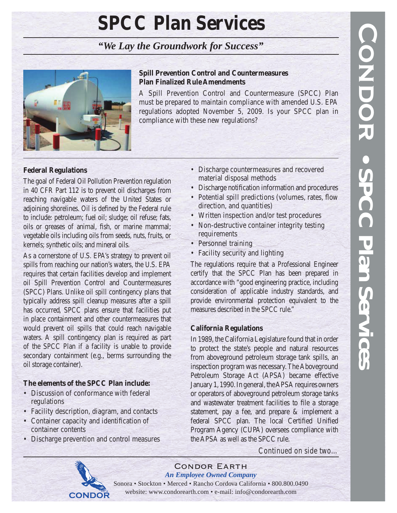# **SPCC Plan Services**

*"We Lay the Groundwork for Success"*



# **Spill Prevention Control and Countermeasures Plan Finalized Rule Amendments**

A Spill Prevention Control and Countermeasure (SPCC) Plan must be prepared to maintain compliance with amended U.S. EPA regulations adopted November 5, 2009. Is your SPCC plan in compliance with these new regulations?

# **Federal Regulations**

The goal of Federal Oil Pollution Prevention regulation in 40 CFR Part 112 is to prevent oil discharges from reaching navigable waters of the United States or adjoining shorelines. Oil is defined by the Federal rule to include: petroleum; fuel oil; sludge; oil refuse; fats, oils or greases of animal, fish, or marine mammal; vegetable oils including oils from seeds, nuts, fruits, or kernels; synthetic oils; and mineral oils.

As a cornerstone of U.S. EPA's strategy to prevent oil spills from reaching our nation's waters, the U.S. EPA requires that certain facilities develop and implement oil Spill Prevention Control and Countermeasures (SPCC) Plans. Unlike oil spill contingency plans that typically address spill cleanup measures after a spill has occurred, SPCC plans ensure that facilities put in place containment and other countermeasures that would prevent oil spills that could reach navigable waters. A spill contingency plan is required as part of the SPCC Plan if a facility is unable to provide secondary containment (e.g., berms surrounding the oil storage container).

# **The elements of the SPCC Plan include:**

- Discussion of conformance with federal regulations
- Facility description, diagram, and contacts
- Container capacity and identification of container contents
- Discharge prevention and control measures
- Discharge countermeasures and recovered material disposal methods
- Discharge notification information and procedures
- Potential spill predictions (volumes, rates, flow direction, and quantities)
- Written inspection and/or test procedures
- Non-destructive container integrity testing requirements
- Personnel training
- Facility security and lighting

The regulations require that a Professional Engineer certify that the SPCC Plan has been prepared in accordance with "good engineering practice, including consideration of applicable industry standards, and provide environmental protection equivalent to the measures described in the SPCC rule."

## **California Regulations**

In 1989, the California Legislature found that in order to protect the state's people and natural resources from aboveground petroleum storage tank spills, an inspection program was necessary. The Aboveground Petroleum Storage Act (APSA) became effective January 1, 1990. In general, the APSA requires owners or operators of aboveground petroleum storage tanks and wastewater treatment facilities to file a storage statement, pay a fee, and prepare & implement a federal SPCC plan. The local Certified Unified Program Agency (CUPA) oversees compliance with the APSA as well as the SPCC rule.



Condor Earth *An Employee Owned Company*

Sonora • Stockton • Merced • Rancho Cordova California • 800.800.0490 website: www.condorearth.com • e-mail: info@condorearth.com